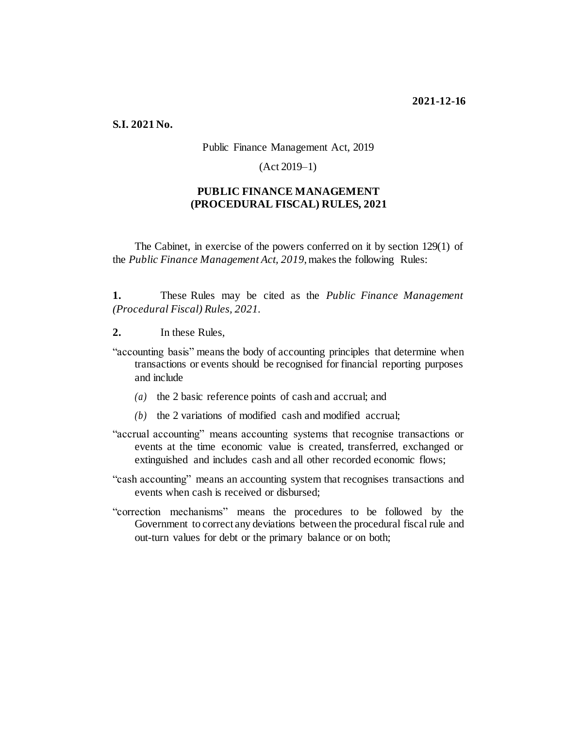**S.I. 2021 No.**

## Public Finance Management Act, 2019

(Act 2019–1)

## **PUBLIC FINANCE MANAGEMENT (PROCEDURAL FISCAL) RULES, 2021**

The Cabinet, in exercise of the powers conferred on it by section 129(1) of the *Public Finance Management Act, 2019*, makes the following Rules:

**1.** These Rules may be cited as the *Public Finance Management (Procedural Fiscal) Rules, 2021*.

- **2.** In these Rules,
- "accounting basis" means the body of accounting principles that determine when transactions or events should be recognised for financial reporting purposes and include
	- *(a)* the 2 basic reference points of cash and accrual; and
	- *(b)* the 2 variations of modified cash and modified accrual;
- "accrual accounting" means accounting systems that recognise transactions or events at the time economic value is created, transferred, exchanged or extinguished and includes cash and all other recorded economic flows;
- "cash accounting" means an accounting system that recognises transactions and events when cash is received or disbursed;
- "correction mechanisms" means the procedures to be followed by the Government to correct any deviations between the procedural fiscal rule and out-turn values for debt or the primary balance or on both;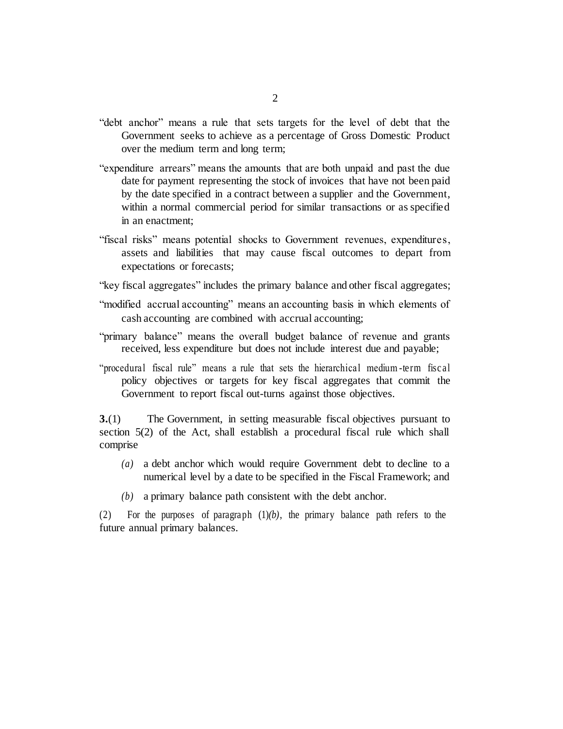- "debt anchor" means a rule that sets targets for the level of debt that the Government seeks to achieve as a percentage of Gross Domestic Product over the medium term and long term;
- "expenditure arrears" means the amounts that are both unpaid and past the due date for payment representing the stock of invoices that have not been paid by the date specified in a contract between a supplier and the Government, within a normal commercial period for similar transactions or as specified in an enactment;
- "fiscal risks" means potential shocks to Government revenues, expenditures, assets and liabilities that may cause fiscal outcomes to depart from expectations or forecasts;
- "key fiscal aggregates" includes the primary balance and other fiscal aggregates;
- "modified accrual accounting" means an accounting basis in which elements of cash accounting are combined with accrual accounting;
- "primary balance" means the overall budget balance of revenue and grants received, less expenditure but does not include interest due and payable;
- "procedural fiscal rule" means a rule that sets the hierarchical medium -term fiscal policy objectives or targets for key fiscal aggregates that commit the Government to report fiscal out-turns against those objectives.

**3.**(1) The Government, in setting measurable fiscal objectives pursuant to section 5(2) of the Act, shall establish a procedural fiscal rule which shall comprise

- *(a)* a debt anchor which would require Government debt to decline to a numerical level by a date to be specified in the Fiscal Framework; and
- *(b)* a primary balance path consistent with the debt anchor.

(2) For the purposes of paragraph (1)*(b)*, the primary balance path refers to the future annual primary balances.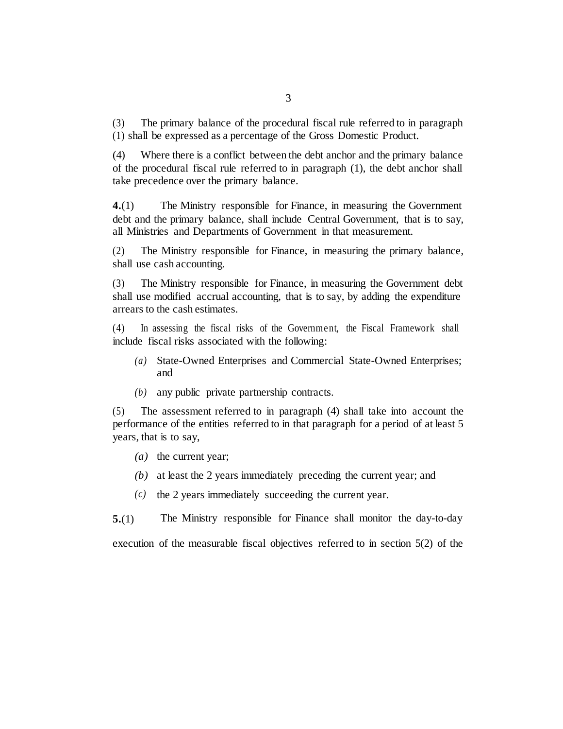(3) The primary balance of the procedural fiscal rule referred to in paragraph (1) shall be expressed as a percentage of the Gross Domestic Product.

(4) Where there is a conflict between the debt anchor and the primary balance of the procedural fiscal rule referred to in paragraph (1), the debt anchor shall take precedence over the primary balance.

**4.**(1) The Ministry responsible for Finance, in measuring the Government debt and the primary balance, shall include Central Government, that is to say, all Ministries and Departments of Government in that measurement.

(2) The Ministry responsible for Finance, in measuring the primary balance, shall use cash accounting.

(3) The Ministry responsible for Finance, in measuring the Government debt shall use modified accrual accounting, that is to say, by adding the expenditure arrears to the cash estimates.

(4) In assessing the fiscal risks of the Government, the Fiscal Framework shall include fiscal risks associated with the following:

- *(a)* State-Owned Enterprises and Commercial State-Owned Enterprises; and
- *(b)* any public private partnership contracts.

(5) The assessment referred to in paragraph (4) shall take into account the performance of the entities referred to in that paragraph for a period of at least 5 years, that is to say,

- *(a)* the current year;
- *(b)* at least the 2 years immediately preceding the current year; and
- *(c)* the 2 years immediately succeeding the current year.

**5.**(1) The Ministry responsible for Finance shall monitor the day-to-day execution of the measurable fiscal objectives referred to in section 5(2) of the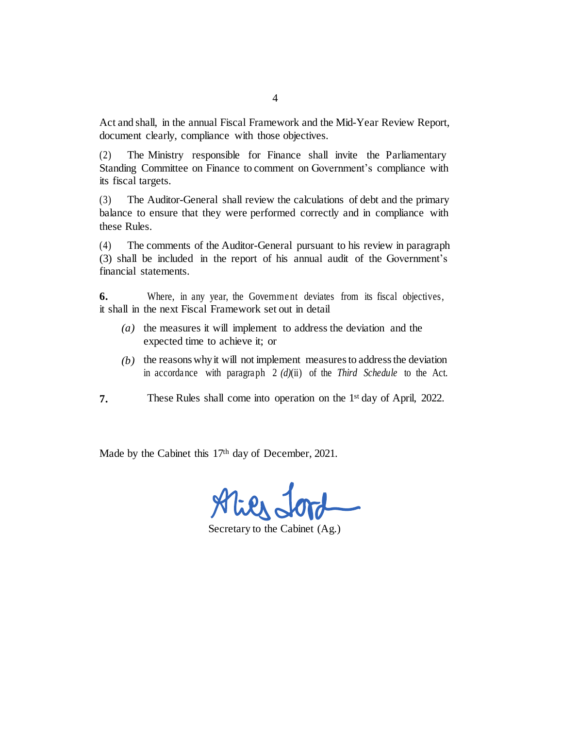Act and shall, in the annual Fiscal Framework and the Mid-Year Review Report, document clearly, compliance with those objectives.

(2) The Ministry responsible for Finance shall invite the Parliamentary Standing Committee on Finance to comment on Government's compliance with its fiscal targets.

(3) The Auditor-General shall review the calculations of debt and the primary balance to ensure that they were performed correctly and in compliance with these Rules.

(4) The comments of the Auditor-General pursuant to his review in paragraph (3) shall be included in the report of his annual audit of the Government's financial statements.

**6.** Where, in any year, the Government deviates from its fiscal objectives, it shall in the next Fiscal Framework set out in detail

- *(a)* the measures it will implement to address the deviation and the expected time to achieve it; or
- *(b)* the reasons whyit will not implement measuresto addressthe deviation in accordance with paragraph 2 *(d)*(ii) of the *Third Schedule* to the Act.
- **7.** These Rules shall come into operation on the 1<sup>st</sup> day of April, 2022.

Made by the Cabinet this 17<sup>th</sup> day of December, 2021.

Secretary to the Cabinet (Ag.)